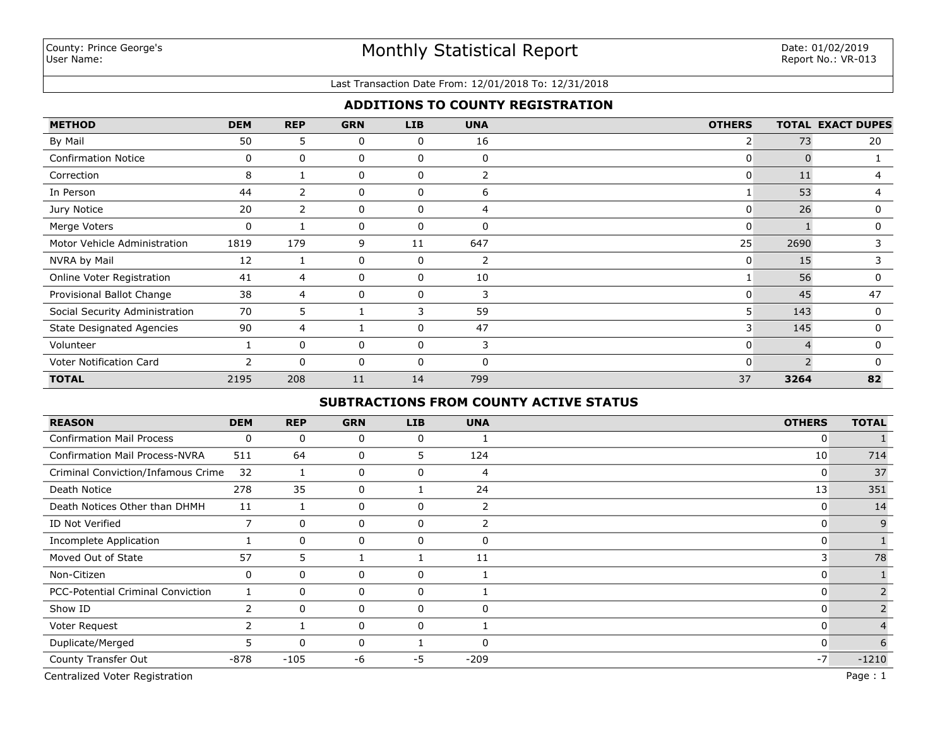#### Last Transaction Date From: 12/01/2018 To: 12/31/2018

## **ADDITIONS TO COUNTY REGISTRATION**

| <b>METHOD</b>                    | <b>DEM</b> | <b>REP</b>     | <b>GRN</b> | <b>LIB</b>  | <b>UNA</b> | <b>OTHERS</b> |      | <b>TOTAL EXACT DUPES</b> |
|----------------------------------|------------|----------------|------------|-------------|------------|---------------|------|--------------------------|
| By Mail                          | 50         | 5              | 0          | 0           | 16         | 2             | 73   | 20                       |
| <b>Confirmation Notice</b>       | 0          | $\mathbf{0}$   | 0          | 0           | $\Omega$   | 0             |      |                          |
| Correction                       | 8          |                | 0          | 0           | 2          | 0             | 11   | 4                        |
| In Person                        | 44         | $\overline{2}$ | 0          | 0           | 6          |               | 53   | 4                        |
| Jury Notice                      | 20         | $\overline{2}$ | 0          | 0           | 4          | 0             | 26   | 0                        |
| Merge Voters                     | 0          |                | 0          | 0           | $\Omega$   | 0             |      | $\mathbf{0}$             |
| Motor Vehicle Administration     | 1819       | 179            | 9          | 11          | 647        | 25            | 2690 | 3                        |
| NVRA by Mail                     | 12         |                | 0          | 0           | 2          | 0             | 15   | 3                        |
| Online Voter Registration        | 41         | 4              | 0          | $\mathbf 0$ | 10         |               | 56   | $\Omega$                 |
| Provisional Ballot Change        | 38         | 4              | 0          | 0           | 3          | 0             | 45   | 47                       |
| Social Security Administration   | 70         | 5              |            | 3           | 59         | 5             | 143  | $\Omega$                 |
| <b>State Designated Agencies</b> | 90         | 4              |            | $\Omega$    | 47         | 3             | 145  | $\Omega$                 |
| Volunteer                        |            | $\mathbf{0}$   | 0          | 0           | 3          | 0             |      | $\mathbf{0}$             |
| Voter Notification Card          | 2          | 0              | 0          | 0           | $\Omega$   | 0             |      | n                        |
| <b>TOTAL</b>                     | 2195       | 208            | 11         | 14          | 799        | 37            | 3264 | 82                       |

# **SUBTRACTIONS FROM COUNTY ACTIVE STATUS**

| <b>REASON</b>                         | <b>DEM</b>            | <b>REP</b>   | <b>GRN</b>   | <b>LIB</b> | <b>UNA</b>     | <b>OTHERS</b> | <b>TOTAL</b> |
|---------------------------------------|-----------------------|--------------|--------------|------------|----------------|---------------|--------------|
| <b>Confirmation Mail Process</b>      | 0                     | $\mathbf 0$  | 0            | 0          |                | 0             |              |
| <b>Confirmation Mail Process-NVRA</b> | 511                   | 64           | 0            | 5          | 124            | 10            | 714          |
| Criminal Conviction/Infamous Crime    | 32                    |              | 0            | 0          | 4              | 0             | 37           |
| Death Notice                          | 278                   | 35           | 0            |            | 24             | 13            | 351          |
| Death Notices Other than DHMH         | 11                    |              | 0            | 0          | $\overline{2}$ | 0             | 14           |
| ID Not Verified                       | 7                     | $\Omega$     | 0            | 0          | $\overline{2}$ | 0             | 9            |
| <b>Incomplete Application</b>         |                       | $\mathbf 0$  | 0            | 0          | $\Omega$       | 0             |              |
| Moved Out of State                    | 57                    | 5            |              |            | 11             | 3             | 78           |
| Non-Citizen                           | 0                     | $\mathbf 0$  | 0            | 0          |                | 0             |              |
| PCC-Potential Criminal Conviction     |                       | $\mathbf 0$  | 0            | 0          |                | 0             |              |
| Show ID                               | $\mathbf{2}^{\prime}$ | 0            | 0            | 0          | $\mathbf{0}$   | 0             |              |
| Voter Request                         |                       |              | 0            | 0          |                | 0             |              |
| Duplicate/Merged                      | 5.                    | $\mathbf{0}$ | $\mathbf{0}$ |            | $\Omega$       | 0             | 6            |
| County Transfer Out                   | -878                  | $-105$       | -6           | $-5$       | $-209$         | $-7$          | $-1210$      |

**TOTAL** 1785 212 7 13 380 33 **2430** Centralized Voter Registration Page : 1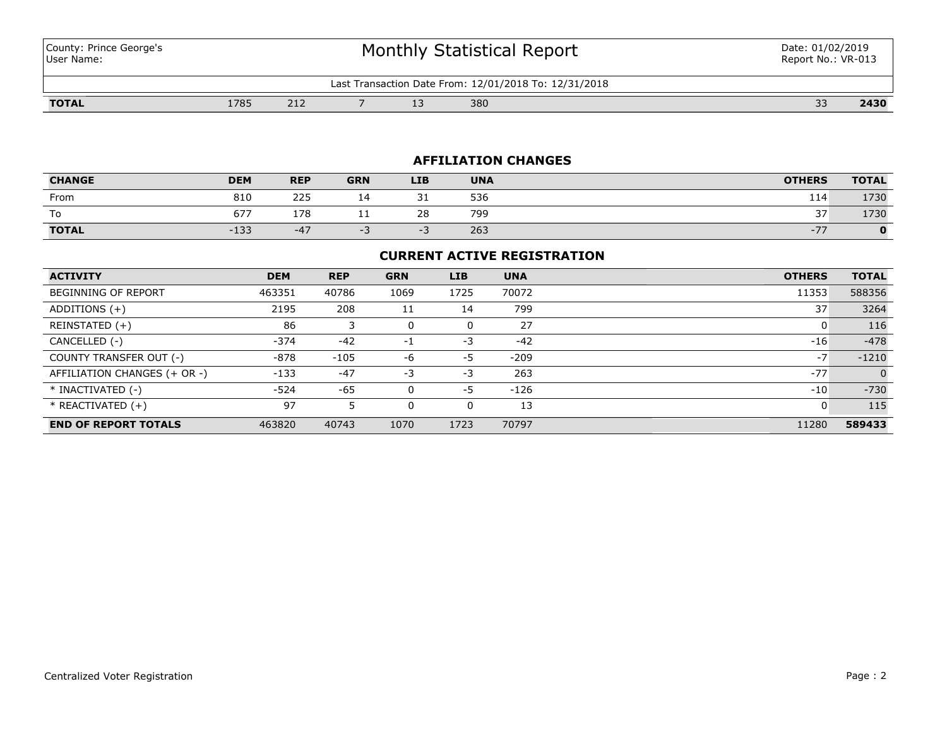County: Prince George's User Name:

# Monthly Statistical Report

| : 12/01/2018 To: 12/31/2018<br>∟as†<br>: Date From<br>5000000<br>: ransaction ا |      |                      |  |  |     |                                    |      |  |  |
|---------------------------------------------------------------------------------|------|----------------------|--|--|-----|------------------------------------|------|--|--|
| <b>TOTAL</b>                                                                    | 1785 | $\sim$ $\sim$<br>212 |  |  | 380 | $\sim$<br>$\overline{\phantom{a}}$ | 2430 |  |  |

# **AFFILIATION CHANGES**

| <b>CHANGE</b> | <b>DEM</b> | <b>REP</b> | <b>GRN</b> | LIB. | <b>UNA</b> | <b>OTHERS</b>                     | <b>TOTAL</b> |
|---------------|------------|------------|------------|------|------------|-----------------------------------|--------------|
| From          | 810        | 225        |            | ⊥ ب  | 536        | 114                               | 1730         |
| To            | 677        | 178        | . .        | 28   | 799        | 37<br>J /                         | 1730         |
| <b>TOTAL</b>  | $-133$     | $-47$      | - 3        |      | 263        | $-77$<br>$\overline{\phantom{a}}$ |              |

## **CURRENT ACTIVE REGISTRATION**

| <b>ACTIVITY</b>              | <b>DEM</b> | <b>REP</b> | <b>GRN</b> | <b>LIB</b> | <b>UNA</b> | <b>OTHERS</b> | <b>TOTAL</b> |
|------------------------------|------------|------------|------------|------------|------------|---------------|--------------|
| <b>BEGINNING OF REPORT</b>   | 463351     | 40786      | 1069       | 1725       | 70072      | 11353         | 588356       |
| ADDITIONS $(+)$              | 2195       | 208        | 11         | 14         | 799        | 37            | 3264         |
| REINSTATED (+)               | 86         |            | 0          | 0          | 27         | 0             | 116          |
| CANCELLED (-)                | $-374$     | $-42$      | $-1$       | $-3$       | $-42$      | $-16$         | $-478$       |
| COUNTY TRANSFER OUT (-)      | -878       | $-105$     | -6         | -5         | $-209$     | $-7$          | $-1210$      |
| AFFILIATION CHANGES (+ OR -) | $-133$     | $-47$      | $-3$       | -3         | 263        | $-77$         | $\Omega$     |
| * INACTIVATED (-)            | $-524$     | $-65$      | 0          | -5         | $-126$     | $-10$         | $-730$       |
| * REACTIVATED (+)            | 97         |            | 0          | 0          | 13         | 0             | 115          |
| <b>END OF REPORT TOTALS</b>  | 463820     | 40743      | 1070       | 1723       | 70797      | 11280         | 589433       |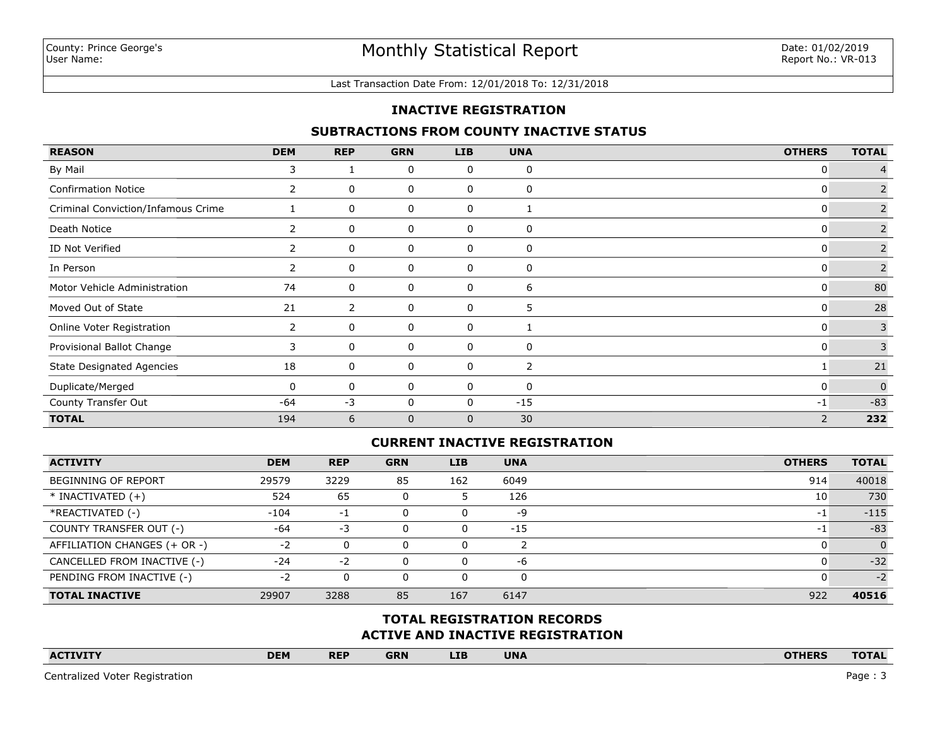#### Last Transaction Date From: 12/01/2018 To: 12/31/2018

## **INACTIVE REGISTRATION**

## **SUBTRACTIONS FROM COUNTY INACTIVE STATUS**

| <b>REASON</b>                      | <b>DEM</b>   | <b>REP</b> | <b>GRN</b>   | <b>LIB</b>   | <b>UNA</b> | <b>OTHERS</b> | <b>TOTAL</b>   |
|------------------------------------|--------------|------------|--------------|--------------|------------|---------------|----------------|
| By Mail                            | 3            |            | 0            | 0            | 0          | $\mathbf{0}$  |                |
| <b>Confirmation Notice</b>         | 2            | 0          | 0            | 0            | 0          | 0             | 2              |
| Criminal Conviction/Infamous Crime |              | 0          | 0            | 0            |            | 0             | $\overline{2}$ |
| Death Notice                       | 2            | 0          | 0            | 0            | 0          | $\mathbf{0}$  | 2              |
| ID Not Verified                    |              | 0          | 0            | 0            | 0          | 0             | $\overline{2}$ |
| In Person                          | $\mathbf{2}$ | 0          | 0            | 0            | 0          | $\mathbf{0}$  | $\overline{2}$ |
| Motor Vehicle Administration       | 74           | 0          | 0            | 0            | 6          | $\mathbf{0}$  | 80             |
| Moved Out of State                 | 21           | 2          | 0            | 0            | 5          | $\mathbf{0}$  | 28             |
| Online Voter Registration          | 2            | 0          | 0            | 0            |            | 0             | $\overline{3}$ |
| Provisional Ballot Change          | 3            | 0          | 0            | 0            | 0          | 0             | 3              |
| <b>State Designated Agencies</b>   | 18           | 0          | 0            | 0            | 2          |               | 21             |
| Duplicate/Merged                   | $\Omega$     | 0          | 0            | 0            | 0          | $\mathbf{0}$  | $\mathbf{0}$   |
| County Transfer Out                | -64          | $-3$       | 0            | 0            | $-15$      | $-1$          | $-83$          |
| <b>TOTAL</b>                       | 194          | 6          | $\mathbf{0}$ | $\mathbf{0}$ | 30         | 2             | 232            |

## **CURRENT INACTIVE REGISTRATION**

| <b>ACTIVITY</b>              | <b>DEM</b> | <b>REP</b> | <b>GRN</b> | <b>LIB</b> | <b>UNA</b> | <b>OTHERS</b> | <b>TOTAL</b> |
|------------------------------|------------|------------|------------|------------|------------|---------------|--------------|
| BEGINNING OF REPORT          | 29579      | 3229       | 85         | 162        | 6049       | 914           | 40018        |
| $*$ INACTIVATED $(+)$        | 524        | 65         |            |            | 126        | 10            | 730          |
| *REACTIVATED (-)             | $-104$     | $-1$       |            | U          | -9         | -1            | $-115$       |
| COUNTY TRANSFER OUT (-)      | $-64$      | -3         |            | 0          | $-15$      | $-1$          | $-83$        |
| AFFILIATION CHANGES (+ OR -) | $-2$       | 0          |            | 0          |            |               | $\Omega$     |
| CANCELLED FROM INACTIVE (-)  | $-24$      | $-2$       |            | 0          | -6         |               | $-32$        |
| PENDING FROM INACTIVE (-)    | $-2$       | 0          |            |            | 0          |               | $-2$         |
| <b>TOTAL INACTIVE</b>        | 29907      | 3288       | 85         | 167        | 6147       | 922           | 40516        |

## **ACTIVE AND INACTIVE REGISTRATION TOTAL REGISTRATION RECORDS**

| <b>ACTIVITY</b> | <b>DEM</b> | <b>REP</b> | <b>GRN</b> | <b>LIB</b> | <b>UNA</b> |  | <b>OTHERS</b> | <b>TOTAL</b> |
|-----------------|------------|------------|------------|------------|------------|--|---------------|--------------|
|                 |            |            |            |            |            |  |               |              |